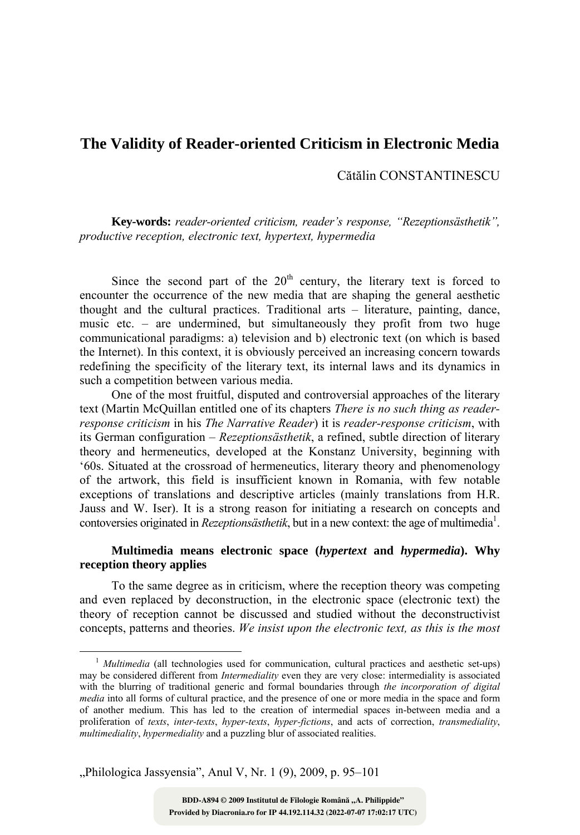# **The Validity of Reader-oriented Criticism in Electronic Media**

Cătălin CONSTANTINESCU

**Key-words:** *reader-oriented criticism, reader's response, "Rezeptionsästhetik", productive reception, electronic text, hypertext, hypermedia*

Since the second part of the  $20<sup>th</sup>$  century, the literary text is forced to encounter the occurrence of the new media that are shaping the general aesthetic thought and the cultural practices. Traditional arts – literature, painting, dance, music etc. – are undermined, but simultaneously they profit from two huge communicational paradigms: a) television and b) electronic text (on which is based the Internet). In this context, it is obviously perceived an increasing concern towards redefining the specificity of the literary text, its internal laws and its dynamics in such a competition between various media.

One of the most fruitful, disputed and controversial approaches of the literary text (Martin McQuillan entitled one of its chapters *There is no such thing as readerresponse criticism* in his *The Narrative Reader*) it is *reader-response criticism*, with its German configuration – *Rezeptionsästhetik*, a refined, subtle direction of literary theory and hermeneutics, developed at the Konstanz University, beginning with '60s. Situated at the crossroad of hermeneutics, literary theory and phenomenology of the artwork, this field is insufficient known in Romania, with few notable exceptions of translations and descriptive articles (mainly translations from H.R. Jauss and W. Iser). It is a strong reason for initiating a research on concepts and contoversies originated in *Rezeptionsästhetik*, but in a new context: the age of multimedia<sup>1</sup>.

## **Multimedia means electronic space (***hypertext* **and** *hypermedia***). Why reception theory applies**

To the same degree as in criticism, where the reception theory was competing and even replaced by deconstruction, in the electronic space (electronic text) the theory of reception cannot be discussed and studied without the deconstructivist concepts, patterns and theories. *We insist upon the electronic text, as this is the most* 

"Philologica Jassyensia", Anul V, Nr. 1 (9), 2009, p. 95-101

<sup>&</sup>lt;sup>1</sup> *Multimedia* (all technologies used for communication, cultural practices and aesthetic set-ups) may be considered different from *Intermediality* even they are very close: intermediality is associated with the blurring of traditional generic and formal boundaries through *the incorporation of digital media* into all forms of cultural practice, and the presence of one or more media in the space and form of another medium. This has led to the creation of intermedial spaces in-between media and a proliferation of *texts*, *inter-texts*, *hyper-texts*, *hyper-fictions*, and acts of correction, *transmediality*, *multimediality*, *hypermediality* and a puzzling blur of associated realities.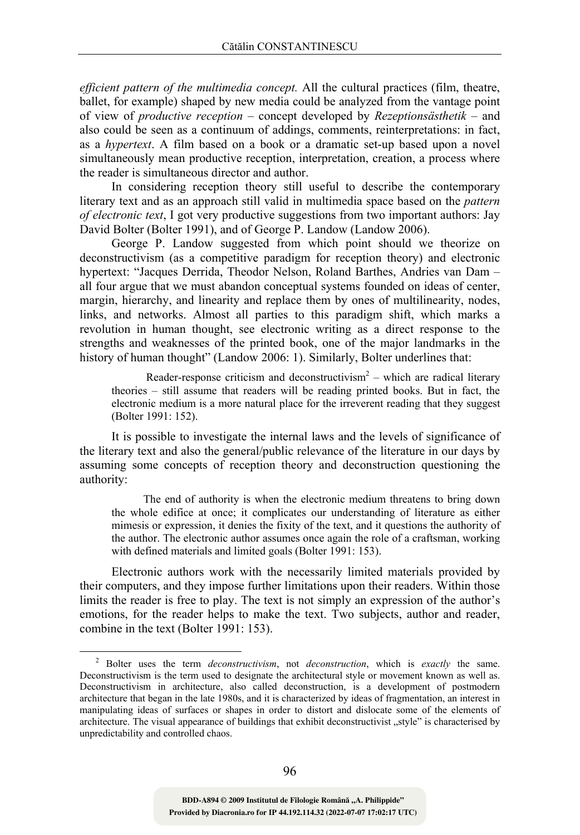*efficient pattern of the multimedia concept.* All the cultural practices (film, theatre, ballet, for example) shaped by new media could be analyzed from the vantage point of view of *productive reception* – concept developed by *Rezeptionsästhetik* – and also could be seen as a continuum of addings, comments, reinterpretations: in fact, as a *hypertext*. A film based on a book or a dramatic set-up based upon a novel simultaneously mean productive reception, interpretation, creation, a process where the reader is simultaneous director and author.

In considering reception theory still useful to describe the contemporary literary text and as an approach still valid in multimedia space based on the *pattern of electronic text*, I got very productive suggestions from two important authors: Jay David Bolter (Bolter 1991), and of George P. Landow (Landow 2006).

George P. Landow suggested from which point should we theorize on deconstructivism (as a competitive paradigm for reception theory) and electronic hypertext: "Jacques Derrida, Theodor Nelson, Roland Barthes, Andries van Dam – all four argue that we must abandon conceptual systems founded on ideas of center, margin, hierarchy, and linearity and replace them by ones of multilinearity, nodes, links, and networks. Almost all parties to this paradigm shift, which marks a revolution in human thought, see electronic writing as a direct response to the strengths and weaknesses of the printed book, one of the major landmarks in the history of human thought" (Landow 2006: 1). Similarly, Bolter underlines that:

Reader-response criticism and deconstructivism<sup>2</sup> – which are radical literary theories – still assume that readers will be reading printed books. But in fact, the electronic medium is a more natural place for the irreverent reading that they suggest (Bolter 1991: 152).

It is possible to investigate the internal laws and the levels of significance of the literary text and also the general/public relevance of the literature in our days by assuming some concepts of reception theory and deconstruction questioning the authority:

The end of authority is when the electronic medium threatens to bring down the whole edifice at once; it complicates our understanding of literature as either mimesis or expression, it denies the fixity of the text, and it questions the authority of the author. The electronic author assumes once again the role of a craftsman, working with defined materials and limited goals (Bolter 1991: 153).

Electronic authors work with the necessarily limited materials provided by their computers, and they impose further limitations upon their readers. Within those limits the reader is free to play. The text is not simply an expression of the author's emotions, for the reader helps to make the text. Two subjects, author and reader, combine in the text (Bolter 1991: 153).

**Provided by Diacronia.ro for IP 44.192.114.32 (2022-07-07 17:02:17 UTC)** BDD-A894 © 2009 Institutul de Filologie Română "A. Philippide"

 $\overline{2}$  Bolter uses the term *deconstructivism*, not *deconstruction*, which is *exactly* the same. Deconstructivism is the term used to designate the architectural style or movement known as well as. Deconstructivism in architecture, also called deconstruction, is a development of postmodern architecture that began in the late 1980s, and it is characterized by ideas of fragmentation, an interest in manipulating ideas of surfaces or shapes in order to distort and dislocate some of the elements of architecture. The visual appearance of buildings that exhibit deconstructivist "style" is characterised by unpredictability and controlled chaos.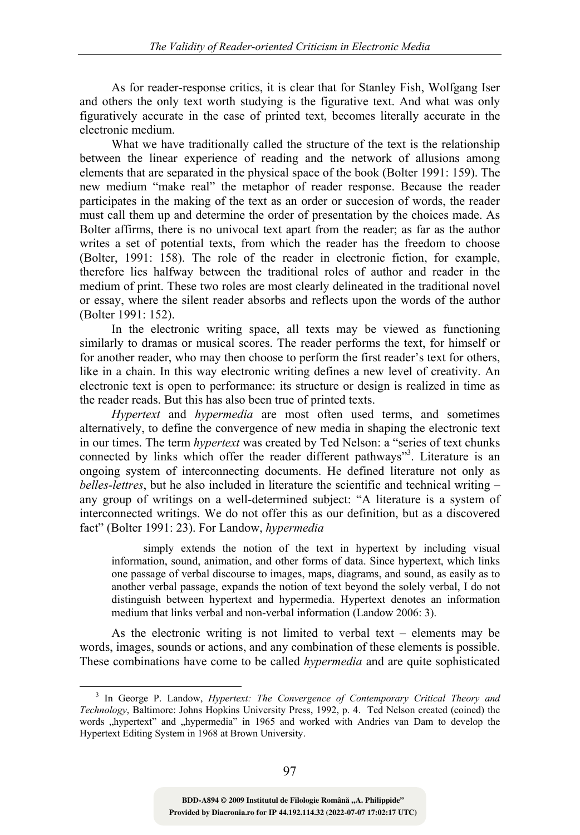As for reader-response critics, it is clear that for Stanley Fish, Wolfgang Iser and others the only text worth studying is the figurative text. And what was only figuratively accurate in the case of printed text, becomes literally accurate in the electronic medium.

What we have traditionally called the structure of the text is the relationship between the linear experience of reading and the network of allusions among elements that are separated in the physical space of the book (Bolter 1991: 159). The new medium "make real" the metaphor of reader response. Because the reader participates in the making of the text as an order or succesion of words, the reader must call them up and determine the order of presentation by the choices made. As Bolter affirms, there is no univocal text apart from the reader; as far as the author writes a set of potential texts, from which the reader has the freedom to choose (Bolter, 1991: 158). The role of the reader in electronic fiction, for example, therefore lies halfway between the traditional roles of author and reader in the medium of print. These two roles are most clearly delineated in the traditional novel or essay, where the silent reader absorbs and reflects upon the words of the author (Bolter 1991: 152).

In the electronic writing space, all texts may be viewed as functioning similarly to dramas or musical scores. The reader performs the text, for himself or for another reader, who may then choose to perform the first reader's text for others, like in a chain. In this way electronic writing defines a new level of creativity. An electronic text is open to performance: its structure or design is realized in time as the reader reads. But this has also been true of printed texts.

*Hypertext* and *hypermedia* are most often used terms, and sometimes alternatively, to define the convergence of new media in shaping the electronic text in our times. The term *hypertext* was created by Ted Nelson: a "series of text chunks connected by links which offer the reader different pathways"<sup>3</sup>. Literature is an ongoing system of interconnecting documents. He defined literature not only as *belles-lettres*, but he also included in literature the scientific and technical writing – any group of writings on a well-determined subject: "A literature is a system of interconnected writings. We do not offer this as our definition, but as a discovered fact" (Bolter 1991: 23). For Landow, *hypermedia*

simply extends the notion of the text in hypertext by including visual information, sound, animation, and other forms of data. Since hypertext, which links one passage of verbal discourse to images, maps, diagrams, and sound, as easily as to another verbal passage, expands the notion of text beyond the solely verbal, I do not distinguish between hypertext and hypermedia. Hypertext denotes an information medium that links verbal and non-verbal information (Landow 2006: 3).

As the electronic writing is not limited to verbal text – elements may be words, images, sounds or actions, and any combination of these elements is possible. These combinations have come to be called *hypermedia* and are quite sophisticated

 <sup>3</sup> In George P. Landow, *Hypertext: The Convergence of Contemporary Critical Theory and Technology*, Baltimore: Johns Hopkins University Press, 1992, p. 4. Ted Nelson created (coined) the words "hypertext" and "hypermedia" in 1965 and worked with Andries van Dam to develop the Hypertext Editing System in 1968 at Brown University.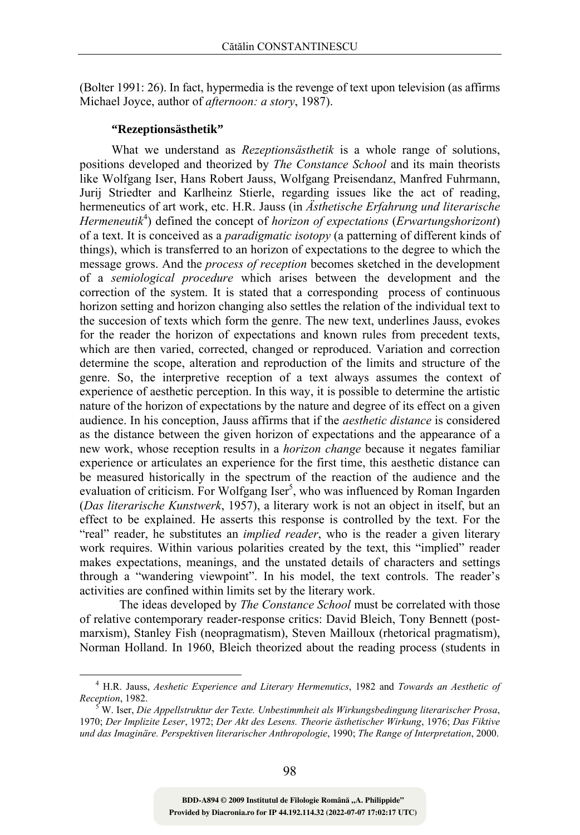(Bolter 1991: 26). In fact, hypermedia is the revenge of text upon television (as affirms Michael Joyce, author of *afternoon: a story*, 1987).

## **"Rezeptionsästhetik"**

What we understand as *Rezeptionsästhetik* is a whole range of solutions, positions developed and theorized by *The Constance School* and its main theorists like Wolfgang Iser, Hans Robert Jauss, Wolfgang Preisendanz, Manfred Fuhrmann, Jurij Striedter and Karlheinz Stierle, regarding issues like the act of reading, hermeneutics of art work, etc. H.R. Jauss (in *Ästhetische Erfahrung und literarische Hermeneutik*<sup>4</sup> ) defined the concept of *horizon of expectations* (*Erwartungshorizont*) of a text. It is conceived as a *paradigmatic isotopy* (a patterning of different kinds of things), which is transferred to an horizon of expectations to the degree to which the message grows. And the *process of reception* becomes sketched in the development of a *semiological procedure* which arises between the development and the correction of the system. It is stated that a corresponding process of continuous horizon setting and horizon changing also settles the relation of the individual text to the succesion of texts which form the genre. The new text, underlines Jauss, evokes for the reader the horizon of expectations and known rules from precedent texts, which are then varied, corrected, changed or reproduced. Variation and correction determine the scope, alteration and reproduction of the limits and structure of the genre. So, the interpretive reception of a text always assumes the context of experience of aesthetic perception. In this way, it is possible to determine the artistic nature of the horizon of expectations by the nature and degree of its effect on a given audience. In his conception, Jauss affirms that if the *aesthetic distance* is considered as the distance between the given horizon of expectations and the appearance of a new work, whose reception results in a *horizon change* because it negates familiar experience or articulates an experience for the first time, this aesthetic distance can be measured historically in the spectrum of the reaction of the audience and the evaluation of criticism. For Wolfgang Iser<sup>5</sup>, who was influenced by Roman Ingarden (*Das literarische Kunstwerk*, 1957), a literary work is not an object in itself, but an effect to be explained. He asserts this response is controlled by the text. For the "real" reader, he substitutes an *implied reader*, who is the reader a given literary work requires. Within various polarities created by the text, this "implied" reader makes expectations, meanings, and the unstated details of characters and settings through a "wandering viewpoint". In his model, the text controls. The reader's activities are confined within limits set by the literary work.

The ideas developed by *The Constance School* must be correlated with those of relative contemporary reader-response critics: David Bleich, Tony Bennett (postmarxism), Stanley Fish (neopragmatism), Steven Mailloux (rhetorical pragmatism), Norman Holland. In 1960, Bleich theorized about the reading process (students in

 <sup>4</sup> H.R. Jauss, *Aeshetic Experience and Literary Hermenutics*, 1982 and *Towards an Aesthetic of Reception*, 1982. 5

W. Iser, *Die Appellstruktur der Texte. Unbestimmheit als Wirkungsbedingung literarischer Prosa*, 1970; *Der Implizite Leser*, 1972; *Der Akt des Lesens. Theorie ästhetischer Wirkung*, 1976; *Das Fiktive und das Imaginäre. Perspektiven literarischer Anthropologie*, 1990; *The Range of Interpretation*, 2000.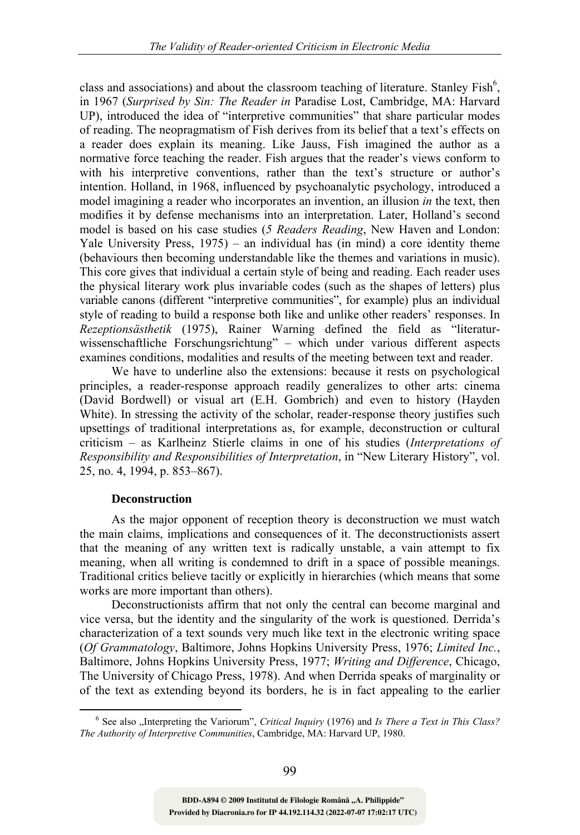class and associations) and about the classroom teaching of literature. Stanley  $\text{Fish}^6$ , in 1967 (*Surprised by Sin: The Reader in* Paradise Lost, Cambridge, MA: Harvard UP), introduced the idea of "interpretive communities" that share particular modes of reading. The neopragmatism of Fish derives from its belief that a text's effects on a reader does explain its meaning. Like Jauss, Fish imagined the author as a normative force teaching the reader. Fish argues that the reader's views conform to with his interpretive conventions, rather than the text's structure or author's intention. Holland, in 1968, influenced by psychoanalytic psychology, introduced a model imagining a reader who incorporates an invention, an illusion *in* the text, then modifies it by defense mechanisms into an interpretation. Later, Holland's second model is based on his case studies (*5 Readers Reading*, New Haven and London: Yale University Press, 1975) – an individual has (in mind) a core identity theme (behaviours then becoming understandable like the themes and variations in music). This core gives that individual a certain style of being and reading. Each reader uses the physical literary work plus invariable codes (such as the shapes of letters) plus variable canons (different "interpretive communities", for example) plus an individual style of reading to build a response both like and unlike other readers' responses. In *Rezeptionsästhetik* (1975), Rainer Warning defined the field as "literaturwissenschaftliche Forschungsrichtung" – which under various different aspects examines conditions, modalities and results of the meeting between text and reader.

We have to underline also the extensions: because it rests on psychological principles, a reader-response approach readily generalizes to other arts: cinema (David Bordwell) or visual art (E.H. Gombrich) and even to history (Hayden White). In stressing the activity of the scholar, reader-response theory justifies such upsettings of traditional interpretations as, for example, deconstruction or cultural criticism – as Karlheinz Stierle claims in one of his studies (*Interpretations of Responsibility and Responsibilities of Interpretation*, in "New Literary History", vol. 25, no. 4, 1994, p. 853–867).

### **Deconstruction**

As the major opponent of reception theory is deconstruction we must watch the main claims, implications and consequences of it. The deconstructionists assert that the meaning of any written text is radically unstable, a vain attempt to fix meaning, when all writing is condemned to drift in a space of possible meanings. Traditional critics believe tacitly or explicitly in hierarchies (which means that some works are more important than others).

Deconstructionists affirm that not only the central can become marginal and vice versa, but the identity and the singularity of the work is questioned. Derrida's characterization of a text sounds very much like text in the electronic writing space (*Of Grammatology*, Baltimore, Johns Hopkins University Press, 1976; *Limited Inc.*, Baltimore, Johns Hopkins University Press, 1977; *Writing and Difference*, Chicago, The University of Chicago Press, 1978). And when Derrida speaks of marginality or of the text as extending beyond its borders, he is in fact appealing to the earlier

**Provided by Diacronia.ro for IP 44.192.114.32 (2022-07-07 17:02:17 UTC)** BDD-A894 © 2009 Institutul de Filologie Română "A. Philippide"

 <sup>6</sup> <sup>6</sup> See also "Interpreting the Variorum", *Critical Inquiry* (1976) and *Is There a Text in This Class? The Authority of Interpretive Communities*, Cambridge, MA: Harvard UP, 1980.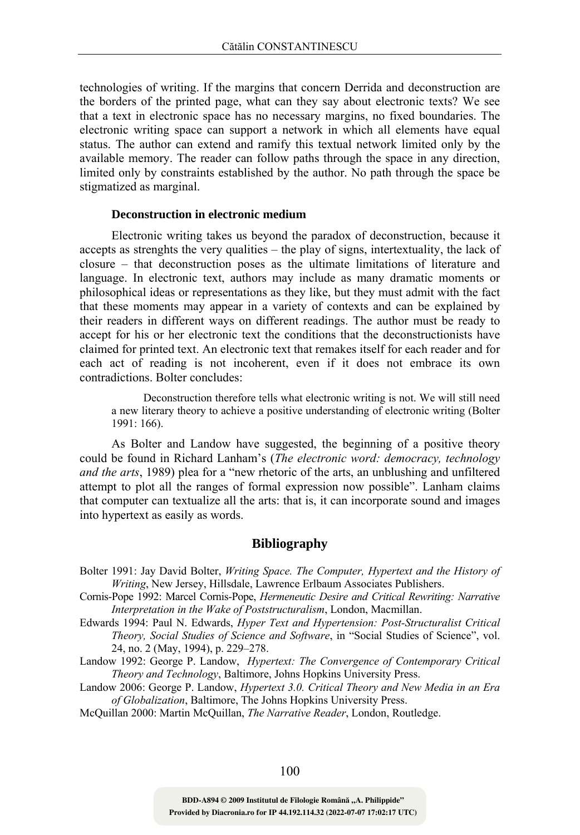technologies of writing. If the margins that concern Derrida and deconstruction are the borders of the printed page, what can they say about electronic texts? We see that a text in electronic space has no necessary margins, no fixed boundaries. The electronic writing space can support a network in which all elements have equal status. The author can extend and ramify this textual network limited only by the available memory. The reader can follow paths through the space in any direction, limited only by constraints established by the author. No path through the space be stigmatized as marginal.

#### **Deconstruction in electronic medium**

Electronic writing takes us beyond the paradox of deconstruction, because it accepts as strenghts the very qualities – the play of signs, intertextuality, the lack of closure – that deconstruction poses as the ultimate limitations of literature and language. In electronic text, authors may include as many dramatic moments or philosophical ideas or representations as they like, but they must admit with the fact that these moments may appear in a variety of contexts and can be explained by their readers in different ways on different readings. The author must be ready to accept for his or her electronic text the conditions that the deconstructionists have claimed for printed text. An electronic text that remakes itself for each reader and for each act of reading is not incoherent, even if it does not embrace its own contradictions. Bolter concludes:

Deconstruction therefore tells what electronic writing is not. We will still need a new literary theory to achieve a positive understanding of electronic writing (Bolter 1991: 166).

As Bolter and Landow have suggested, the beginning of a positive theory could be found in Richard Lanham's (*The electronic word: democracy, technology and the arts*, 1989) plea for a "new rhetoric of the arts, an unblushing and unfiltered attempt to plot all the ranges of formal expression now possible". Lanham claims that computer can textualize all the arts: that is, it can incorporate sound and images into hypertext as easily as words.

## **Bibliography**

- Bolter 1991: Jay David Bolter, *Writing Space. The Computer, Hypertext and the History of Writing*, New Jersey, Hillsdale, Lawrence Erlbaum Associates Publishers.
- Cornis-Pope 1992: Marcel Cornis-Pope, *Hermeneutic Desire and Critical Rewriting: Narrative Interpretation in the Wake of Poststructuralism*, London, Macmillan.
- Edwards 1994: Paul N. Edwards, *Hyper Text and Hypertension: Post-Structuralist Critical Theory, Social Studies of Science and Software*, in "Social Studies of Science", vol. 24, no. 2 (May, 1994), p. 229–278.
- Landow 1992: George P. Landow, *Hypertext: The Convergence of Contemporary Critical Theory and Technology*, Baltimore, Johns Hopkins University Press.
- Landow 2006: George P. Landow, *Hypertext 3.0. Critical Theory and New Media in an Era of Globalization*, Baltimore, The Johns Hopkins University Press.

McQuillan 2000: Martin McQuillan, *The Narrative Reader*, London, Routledge.